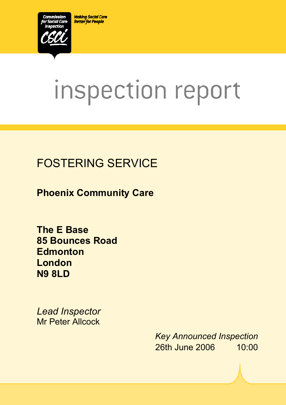**Making Social Care Better for People** 



# inspection report

 $X_1$ 10029.doc Version 1.40 Page 1.40 Page 1.40 Page 1.40 Page 1.40 Page 1.40 Page 1.40 Page 1.40 Page 1.40 Page 1.40 Page 1.40 Page 1.40 Page 1.40 Page 1.40 Page 1.40 Page 1.40 Page 1.40 Page 1.40 Page 1.40 Page 1.40 Pag

# FOSTERING SERVICE

**Phoenix Community Care** 

**The E Base 85 Bounces Road Edmonton London N9 8LD** 

*Lead Inspector*  Mr Peter Allcock

> *Key Announced Inspection* 26th June 2006 10:00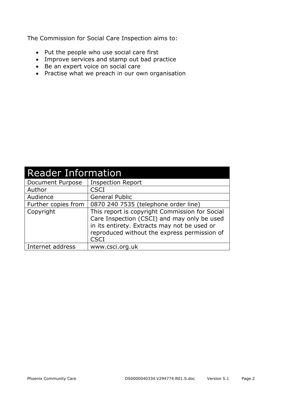The Commission for Social Care Inspection aims to:

- Put the people who use social care first
- Improve services and stamp out bad practice
- Be an expert voice on social care
- Practise what we preach in our own organisation

| <b>Reader Information</b> |                                                                                                                                                                                                              |  |  |  |
|---------------------------|--------------------------------------------------------------------------------------------------------------------------------------------------------------------------------------------------------------|--|--|--|
| Document Purpose          | <b>Inspection Report</b>                                                                                                                                                                                     |  |  |  |
| Author                    | <b>CSCI</b>                                                                                                                                                                                                  |  |  |  |
| Audience                  | <b>General Public</b>                                                                                                                                                                                        |  |  |  |
| Further copies from       | 0870 240 7535 (telephone order line)                                                                                                                                                                         |  |  |  |
| Copyright                 | This report is copyright Commission for Social<br>Care Inspection (CSCI) and may only be used<br>in its entirety. Extracts may not be used or<br>reproduced without the express permission of<br><b>CSCI</b> |  |  |  |
| Internet address          | www.csci.org.uk                                                                                                                                                                                              |  |  |  |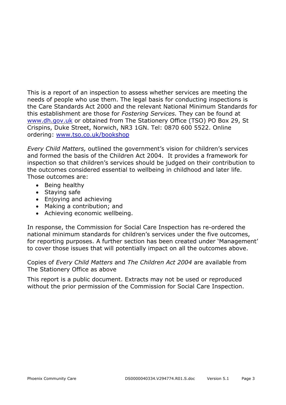This is a report of an inspection to assess whether services are meeting the needs of people who use them. The legal basis for conducting inspections is the Care Standards Act 2000 and the relevant National Minimum Standards for this establishment are those for *Fostering Services.* They can be found at www.dh.gov.uk or obtained from The Stationery Office (TSO) PO Box 29, St Crispins, Duke Street, Norwich, NR3 1GN. Tel: 0870 600 5522. Online ordering: www.tso.co.uk/bookshop

*Every Child Matters,* outlined the government's vision for children's services and formed the basis of the Children Act 2004. It provides a framework for inspection so that children's services should be judged on their contribution to the outcomes considered essential to wellbeing in childhood and later life. Those outcomes are:

- Being healthy
- Staying safe
- Enjoying and achieving
- Making a contribution; and
- Achieving economic wellbeing.

In response, the Commission for Social Care Inspection has re-ordered the national minimum standards for children's services under the five outcomes, for reporting purposes. A further section has been created under 'Management' to cover those issues that will potentially impact on all the outcomes above.

Copies of *Every Child Matters* and *The Children Act 2004* are available from The Stationery Office as above

This report is a public document. Extracts may not be used or reproduced without the prior permission of the Commission for Social Care Inspection.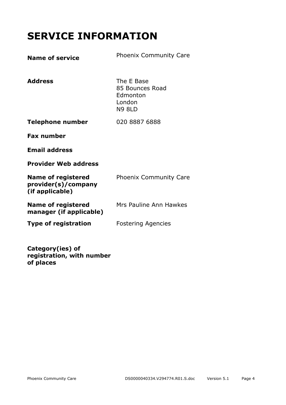# **SERVICE INFORMATION**

| <b>Name of service</b>                                              | <b>Phoenix Community Care</b>                                        |
|---------------------------------------------------------------------|----------------------------------------------------------------------|
| <b>Address</b>                                                      | The E Base<br>85 Bounces Road<br>Edmonton<br>London<br><b>N9 8LD</b> |
| <b>Telephone number</b>                                             | 020 8887 6888                                                        |
| <b>Fax number</b>                                                   |                                                                      |
| <b>Email address</b>                                                |                                                                      |
| <b>Provider Web address</b>                                         |                                                                      |
| <b>Name of registered</b><br>provider(s)/company<br>(if applicable) | <b>Phoenix Community Care</b>                                        |
| <b>Name of registered</b><br>manager (if applicable)                | Mrs Pauline Ann Hawkes                                               |
| <b>Type of registration</b>                                         | <b>Fostering Agencies</b>                                            |
|                                                                     |                                                                      |

**Category(ies) of registration, with number of places**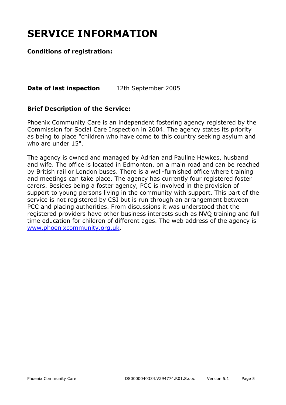# **SERVICE INFORMATION**

#### **Conditions of registration:**

#### **Date of last inspection** 12th September 2005

#### **Brief Description of the Service:**

Phoenix Community Care is an independent fostering agency registered by the Commission for Social Care Inspection in 2004. The agency states its priority as being to place "children who have come to this country seeking asylum and who are under 15".

The agency is owned and managed by Adrian and Pauline Hawkes, husband and wife. The office is located in Edmonton, on a main road and can be reached by British rail or London buses. There is a well-furnished office where training and meetings can take place. The agency has currently four registered foster carers. Besides being a foster agency, PCC is involved in the provision of support to young persons living in the community with support. This part of the service is not registered by CSI but is run through an arrangement between PCC and placing authorities. From discussions it was understood that the registered providers have other business interests such as NVQ training and full time education for children of different ages. The web address of the agency is www.phoenixcommunity.org.uk.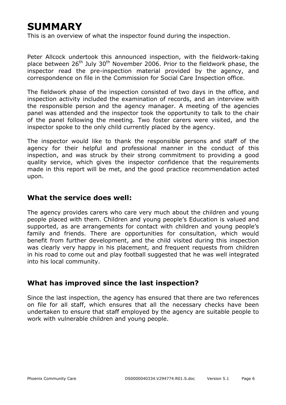# **SUMMARY**

This is an overview of what the inspector found during the inspection.

Peter Allcock undertook this announced inspection, with the fieldwork-taking place between  $26<sup>th</sup>$  July  $30<sup>th</sup>$  November 2006. Prior to the fieldwork phase, the inspector read the pre-inspection material provided by the agency, and correspondence on file in the Commission for Social Care Inspection office.

The fieldwork phase of the inspection consisted of two days in the office, and inspection activity included the examination of records, and an interview with the responsible person and the agency manager. A meeting of the agencies panel was attended and the inspector took the opportunity to talk to the chair of the panel following the meeting. Two foster carers were visited, and the inspector spoke to the only child currently placed by the agency.

The inspector would like to thank the responsible persons and staff of the agency for their helpful and professional manner in the conduct of this inspection, and was struck by their strong commitment to providing a good quality service, which gives the inspector confidence that the requirements made in this report will be met, and the good practice recommendation acted upon.

#### **What the service does well:**

The agency provides carers who care very much about the children and young people placed with them. Children and young people's Education is valued and supported, as are arrangements for contact with children and young people's family and friends. There are opportunities for consultation, which would benefit from further development, and the child visited during this inspection was clearly very happy in his placement, and frequent requests from children in his road to come out and play football suggested that he was well integrated into his local community.

#### **What has improved since the last inspection?**

Since the last inspection, the agency has ensured that there are two references on file for all staff, which ensures that all the necessary checks have been undertaken to ensure that staff employed by the agency are suitable people to work with vulnerable children and young people.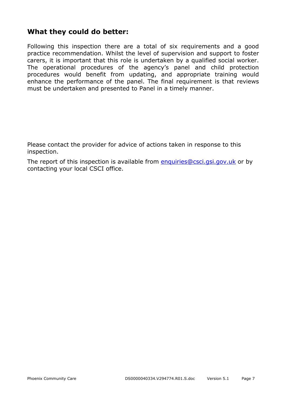#### **What they could do better:**

Following this inspection there are a total of six requirements and a good practice recommendation. Whilst the level of supervision and support to foster carers, it is important that this role is undertaken by a qualified social worker. The operational procedures of the agency's panel and child protection procedures would benefit from updating, and appropriate training would enhance the performance of the panel. The final requirement is that reviews must be undertaken and presented to Panel in a timely manner.

Please contact the provider for advice of actions taken in response to this inspection.

The report of this inspection is available from enquiries@csci.gsi.gov.uk or by contacting your local CSCI office.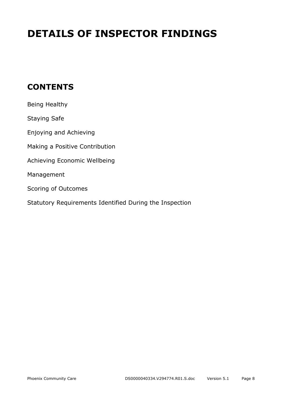# **DETAILS OF INSPECTOR FINDINGS**

## **CONTENTS**

| Being Healthy                                           |
|---------------------------------------------------------|
| <b>Staying Safe</b>                                     |
| Enjoying and Achieving                                  |
| Making a Positive Contribution                          |
| Achieving Economic Wellbeing                            |
| Management                                              |
| Scoring of Outcomes                                     |
| Statutory Requirements Identified During the Inspection |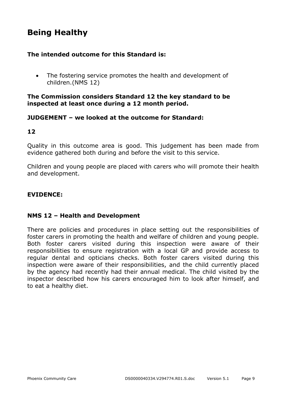## **Being Healthy**

#### **The intended outcome for this Standard is:**

• The fostering service promotes the health and development of children.(NMS 12)

#### **The Commission considers Standard 12 the key standard to be inspected at least once during a 12 month period.**

#### **JUDGEMENT – we looked at the outcome for Standard:**

#### **12**

Quality in this outcome area is good. This judgement has been made from evidence gathered both during and before the visit to this service.

Children and young people are placed with carers who will promote their health and development.

#### **EVIDENCE:**

#### **NMS 12 – Health and Development**

There are policies and procedures in place setting out the responsibilities of foster carers in promoting the health and welfare of children and young people. Both foster carers visited during this inspection were aware of their responsibilities to ensure registration with a local GP and provide access to regular dental and opticians checks. Both foster carers visited during this inspection were aware of their responsibilities, and the child currently placed by the agency had recently had their annual medical. The child visited by the inspector described how his carers encouraged him to look after himself, and to eat a healthy diet.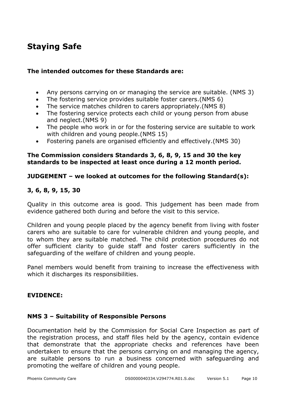## **Staying Safe**

#### **The intended outcomes for these Standards are:**

- Any persons carrying on or managing the service are suitable. (NMS 3)
- The fostering service provides suitable foster carers.(NMS 6)
- The service matches children to carers appropriately.(NMS 8)
- The fostering service protects each child or young person from abuse and neglect.(NMS 9)
- The people who work in or for the fostering service are suitable to work with children and young people.(NMS 15)
- Fostering panels are organised efficiently and effectively.(NMS 30)

#### **The Commission considers Standards 3, 6, 8, 9, 15 and 30 the key standards to be inspected at least once during a 12 month period.**

#### **JUDGEMENT – we looked at outcomes for the following Standard(s):**

#### **3, 6, 8, 9, 15, 30**

Quality in this outcome area is good. This judgement has been made from evidence gathered both during and before the visit to this service.

Children and young people placed by the agency benefit from living with foster carers who are suitable to care for vulnerable children and young people, and to whom they are suitable matched. The child protection procedures do not offer sufficient clarity to guide staff and foster carers sufficiently in the safeguarding of the welfare of children and young people.

Panel members would benefit from training to increase the effectiveness with which it discharges its responsibilities.

#### **EVIDENCE:**

#### **NMS 3 – Suitability of Responsible Persons**

Documentation held by the Commission for Social Care Inspection as part of the registration process, and staff files held by the agency, contain evidence that demonstrate that the appropriate checks and references have been undertaken to ensure that the persons carrying on and managing the agency, are suitable persons to run a business concerned with safeguarding and promoting the welfare of children and young people.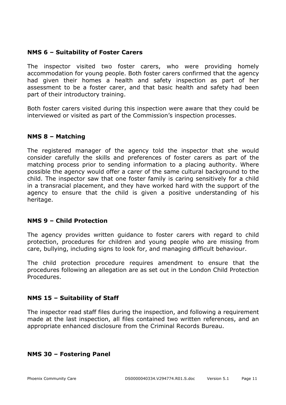#### **NMS 6 – Suitability of Foster Carers**

The inspector visited two foster carers, who were providing homely accommodation for young people. Both foster carers confirmed that the agency had given their homes a health and safety inspection as part of her assessment to be a foster carer, and that basic health and safety had been part of their introductory training.

Both foster carers visited during this inspection were aware that they could be interviewed or visited as part of the Commission's inspection processes.

#### **NMS 8 – Matching**

The registered manager of the agency told the inspector that she would consider carefully the skills and preferences of foster carers as part of the matching process prior to sending information to a placing authority. Where possible the agency would offer a carer of the same cultural background to the child. The inspector saw that one foster family is caring sensitively for a child in a transracial placement, and they have worked hard with the support of the agency to ensure that the child is given a positive understanding of his heritage.

#### **NMS 9 – Child Protection**

The agency provides written guidance to foster carers with regard to child protection, procedures for children and young people who are missing from care, bullying, including signs to look for, and managing difficult behaviour.

The child protection procedure requires amendment to ensure that the procedures following an allegation are as set out in the London Child Protection Procedures.

#### **NMS 15 – Suitability of Staff**

The inspector read staff files during the inspection, and following a requirement made at the last inspection, all files contained two written references, and an appropriate enhanced disclosure from the Criminal Records Bureau.

#### **NMS 30 – Fostering Panel**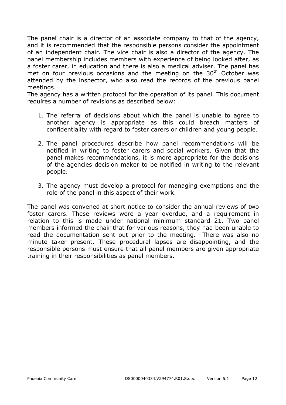The panel chair is a director of an associate company to that of the agency, and it is recommended that the responsible persons consider the appointment of an independent chair. The vice chair is also a director of the agency. The panel membership includes members with experience of being looked after, as a foster carer, in education and there is also a medical adviser. The panel has met on four previous occasions and the meeting on the  $30<sup>th</sup>$  October was attended by the inspector, who also read the records of the previous panel meetings.

The agency has a written protocol for the operation of its panel. This document requires a number of revisions as described below:

- 1. The referral of decisions about which the panel is unable to agree to another agency is appropriate as this could breach matters of confidentiality with regard to foster carers or children and young people.
- 2. The panel procedures describe how panel recommendations will be notified in writing to foster carers and social workers. Given that the panel makes recommendations, it is more appropriate for the decisions of the agencies decision maker to be notified in writing to the relevant people.
- 3. The agency must develop a protocol for managing exemptions and the role of the panel in this aspect of their work.

The panel was convened at short notice to consider the annual reviews of two foster carers. These reviews were a year overdue, and a requirement in relation to this is made under national minimum standard 21. Two panel members informed the chair that for various reasons, they had been unable to read the documentation sent out prior to the meeting. There was also no minute taker present. These procedural lapses are disappointing, and the responsible persons must ensure that all panel members are given appropriate training in their responsibilities as panel members.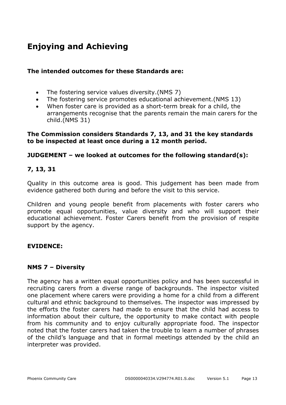# **Enjoying and Achieving**

#### **The intended outcomes for these Standards are:**

- The fostering service values diversity.(NMS 7)
- The fostering service promotes educational achievement.(NMS 13)
- When foster care is provided as a short-term break for a child, the arrangements recognise that the parents remain the main carers for the child.(NMS 31)

#### **The Commission considers Standards 7, 13, and 31 the key standards to be inspected at least once during a 12 month period.**

#### **JUDGEMENT – we looked at outcomes for the following standard(s):**

#### **7, 13, 31**

Quality in this outcome area is good. This judgement has been made from evidence gathered both during and before the visit to this service.

Children and young people benefit from placements with foster carers who promote equal opportunities, value diversity and who will support their educational achievement. Foster Carers benefit from the provision of respite support by the agency.

#### **EVIDENCE:**

#### **NMS 7 – Diversity**

The agency has a written equal opportunities policy and has been successful in recruiting carers from a diverse range of backgrounds. The inspector visited one placement where carers were providing a home for a child from a different cultural and ethnic background to themselves. The inspector was impressed by the efforts the foster carers had made to ensure that the child had access to information about their culture, the opportunity to make contact with people from his community and to enjoy culturally appropriate food. The inspector noted that the foster carers had taken the trouble to learn a number of phrases of the child's language and that in formal meetings attended by the child an interpreter was provided.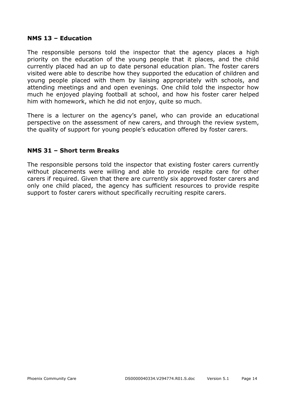#### **NMS 13 – Education**

The responsible persons told the inspector that the agency places a high priority on the education of the young people that it places, and the child currently placed had an up to date personal education plan. The foster carers visited were able to describe how they supported the education of children and young people placed with them by liaising appropriately with schools, and attending meetings and and open evenings. One child told the inspector how much he enjoyed playing football at school, and how his foster carer helped him with homework, which he did not enjoy, quite so much.

There is a lecturer on the agency's panel, who can provide an educational perspective on the assessment of new carers, and through the review system, the quality of support for young people's education offered by foster carers.

#### **NMS 31 – Short term Breaks**

The responsible persons told the inspector that existing foster carers currently without placements were willing and able to provide respite care for other carers if required. Given that there are currently six approved foster carers and only one child placed, the agency has sufficient resources to provide respite support to foster carers without specifically recruiting respite carers.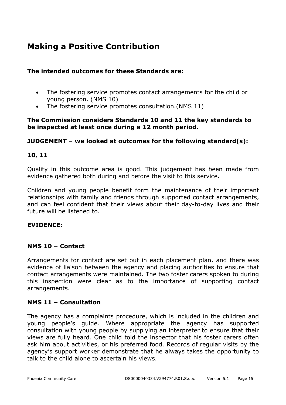## **Making a Positive Contribution**

#### **The intended outcomes for these Standards are:**

- The fostering service promotes contact arrangements for the child or young person. (NMS 10)
- The fostering service promotes consultation.(NMS 11)

#### **The Commission considers Standards 10 and 11 the key standards to be inspected at least once during a 12 month period.**

#### **JUDGEMENT – we looked at outcomes for the following standard(s):**

#### **10, 11**

Quality in this outcome area is good. This judgement has been made from evidence gathered both during and before the visit to this service.

Children and young people benefit form the maintenance of their important relationships with family and friends through supported contact arrangements, and can feel confident that their views about their day-to-day lives and their future will be listened to.

#### **EVIDENCE:**

#### **NMS 10 – Contact**

Arrangements for contact are set out in each placement plan, and there was evidence of liaison between the agency and placing authorities to ensure that contact arrangements were maintained. The two foster carers spoken to during this inspection were clear as to the importance of supporting contact arrangements.

#### **NMS 11 – Consultation**

The agency has a complaints procedure, which is included in the children and young people's guide. Where appropriate the agency has supported consultation with young people by supplying an interpreter to ensure that their views are fully heard. One child told the inspector that his foster carers often ask him about activities, or his preferred food. Records of regular visits by the agency's support worker demonstrate that he always takes the opportunity to talk to the child alone to ascertain his views.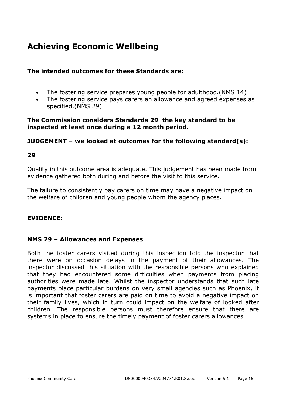## **Achieving Economic Wellbeing**

#### **The intended outcomes for these Standards are:**

- The fostering service prepares young people for adulthood.(NMS 14)
- The fostering service pays carers an allowance and agreed expenses as specified.(NMS 29)

#### **The Commission considers Standards 29 the key standard to be inspected at least once during a 12 month period.**

#### **JUDGEMENT – we looked at outcomes for the following standard(s):**

#### **29**

Quality in this outcome area is adequate. This judgement has been made from evidence gathered both during and before the visit to this service.

The failure to consistently pay carers on time may have a negative impact on the welfare of children and young people whom the agency places.

#### **EVIDENCE:**

#### **NMS 29 – Allowances and Expenses**

Both the foster carers visited during this inspection told the inspector that there were on occasion delays in the payment of their allowances. The inspector discussed this situation with the responsible persons who explained that they had encountered some difficulties when payments from placing authorities were made late. Whilst the inspector understands that such late payments place particular burdens on very small agencies such as Phoenix, it is important that foster carers are paid on time to avoid a negative impact on their family lives, which in turn could impact on the welfare of looked after children. The responsible persons must therefore ensure that there are systems in place to ensure the timely payment of foster carers allowances.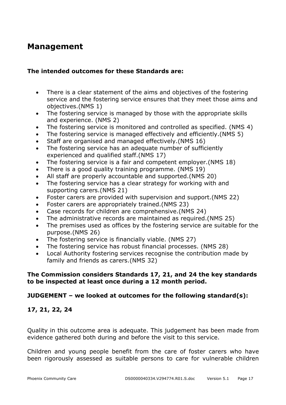### **Management**

#### **The intended outcomes for these Standards are:**

- There is a clear statement of the aims and objectives of the fostering service and the fostering service ensures that they meet those aims and objectives.(NMS 1)
- The fostering service is managed by those with the appropriate skills and experience. (NMS 2)
- The fostering service is monitored and controlled as specified. (NMS 4)
- The fostering service is managed effectively and efficiently.(NMS 5)
- Staff are organised and managed effectively.(NMS 16)
- The fostering service has an adequate number of sufficiently experienced and qualified staff.(NMS 17)
- The fostering service is a fair and competent employer.(NMS 18)
- There is a good quality training programme. (NMS 19)
- All staff are properly accountable and supported.(NMS 20)
- The fostering service has a clear strategy for working with and supporting carers.(NMS 21)
- Foster carers are provided with supervision and support.(NMS 22)
- Foster carers are appropriately trained.(NMS 23)
- Case records for children are comprehensive.(NMS 24)
- The administrative records are maintained as required.(NMS 25)
- The premises used as offices by the fostering service are suitable for the purpose.(NMS 26)
- The fostering service is financially viable. (NMS 27)
- The fostering service has robust financial processes. (NMS 28)
- Local Authority fostering services recognise the contribution made by family and friends as carers.(NMS 32)

#### **The Commission considers Standards 17, 21, and 24 the key standards to be inspected at least once during a 12 month period.**

#### **JUDGEMENT – we looked at outcomes for the following standard(s):**

#### **17, 21, 22, 24**

Quality in this outcome area is adequate. This judgement has been made from evidence gathered both during and before the visit to this service.

Children and young people benefit from the care of foster carers who have been rigorously assessed as suitable persons to care for vulnerable children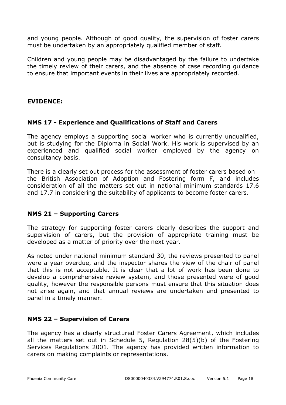and young people. Although of good quality, the supervision of foster carers must be undertaken by an appropriately qualified member of staff.

Children and young people may be disadvantaged by the failure to undertake the timely review of their carers, and the absence of case recording guidance to ensure that important events in their lives are appropriately recorded.

#### **EVIDENCE:**

#### **NMS 17 - Experience and Qualifications of Staff and Carers**

The agency employs a supporting social worker who is currently unqualified, but is studying for the Diploma in Social Work. His work is supervised by an experienced and qualified social worker employed by the agency on consultancy basis.

There is a clearly set out process for the assessment of foster carers based on the British Association of Adoption and Fostering form F, and includes consideration of all the matters set out in national minimum standards 17.6 and 17.7 in considering the suitability of applicants to become foster carers.

#### **NMS 21 – Supporting Carers**

The strategy for supporting foster carers clearly describes the support and supervision of carers, but the provision of appropriate training must be developed as a matter of priority over the next year.

As noted under national minimum standard 30, the reviews presented to panel were a year overdue, and the inspector shares the view of the chair of panel that this is not acceptable. It is clear that a lot of work has been done to develop a comprehensive review system, and those presented were of good quality, however the responsible persons must ensure that this situation does not arise again, and that annual reviews are undertaken and presented to panel in a timely manner.

#### **NMS 22 – Supervision of Carers**

The agency has a clearly structured Foster Carers Agreement, which includes all the matters set out in Schedule 5, Regulation 28(5)(b) of the Fostering Services Regulations 2001. The agency has provided written information to carers on making complaints or representations.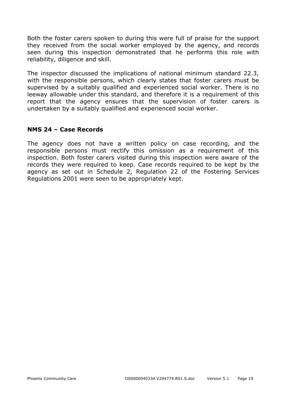Both the foster carers spoken to during this were full of praise for the support they received from the social worker employed by the agency, and records seen during this inspection demonstrated that he performs this role with reliability, diligence and skill.

The inspector discussed the implications of national minimum standard 22.3, with the responsible persons, which clearly states that foster carers must be supervised by a suitably qualified and experienced social worker. There is no leeway allowable under this standard, and therefore it is a requirement of this report that the agency ensures that the supervision of foster carers is undertaken by a suitably qualified and experienced social worker.

#### **NMS 24 – Case Records**

The agency does not have a written policy on case recording, and the responsible persons must rectify this omission as a requirement of this inspection. Both foster carers visited during this inspection were aware of the records they were required to keep. Case records required to be kept by the agency as set out in Schedule 2, Regulation 22 of the Fostering Services Regulations 2001 were seen to be appropriately kept.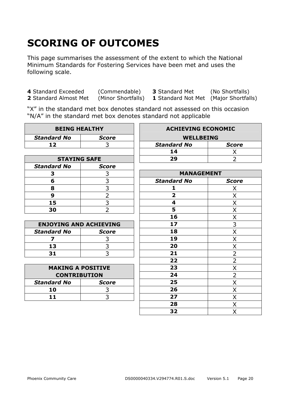# **SCORING OF OUTCOMES**

This page summarises the assessment of the extent to which the National Minimum Standards for Fostering Services have been met and uses the following scale.

**4** Standard Exceeded (Commendable) **3** Standard Met (No Shortfalls)

**1** Standard Not Met (Major Shortfalls)

"X" in the standard met box denotes standard not assessed on this occasion "N/A" in the standard met box denotes standard not applicable

| <b>BEING HEALTHY</b>          |                | <b>ACHIEVING ECONOMIC</b>          |                |  |  |  |
|-------------------------------|----------------|------------------------------------|----------------|--|--|--|
| <b>Standard No</b>            | <b>Score</b>   | <b>WELLBEING</b>                   |                |  |  |  |
| 12                            | 3              | <b>Standard No</b><br><b>Score</b> |                |  |  |  |
|                               |                | 14                                 | X              |  |  |  |
| <b>STAYING SAFE</b>           |                | 29                                 | $\overline{2}$ |  |  |  |
| <b>Standard No</b>            | <b>Score</b>   |                                    |                |  |  |  |
| 3                             | 3              | <b>MANAGEMENT</b>                  |                |  |  |  |
| 6                             | 3              | <b>Standard No</b>                 | <b>Score</b>   |  |  |  |
| 8                             | $\overline{3}$ | 1                                  | X              |  |  |  |
| 9                             | $\overline{2}$ | $\overline{2}$                     | Χ              |  |  |  |
| 15                            | $\overline{3}$ | 4                                  | X              |  |  |  |
| 30                            | $\overline{2}$ | 5                                  | Χ              |  |  |  |
|                               |                | 16                                 | Χ              |  |  |  |
| <b>ENJOYING AND ACHIEVING</b> |                | 17                                 | 3              |  |  |  |
| <b>Standard No</b>            | <b>Score</b>   | 18                                 | X              |  |  |  |
| 7                             | 3              | 19                                 | X              |  |  |  |
| 13                            | $\overline{3}$ | 20                                 | X              |  |  |  |
| 31                            | $\overline{3}$ | 21                                 | $\overline{2}$ |  |  |  |
|                               |                | 22                                 | $\overline{2}$ |  |  |  |
| <b>MAKING A POSITIVE</b>      |                | 23                                 | X              |  |  |  |
| <b>CONTRIBUTION</b>           |                | 24                                 | $\overline{2}$ |  |  |  |
| <b>Standard No</b>            | <b>Score</b>   | 25                                 | X              |  |  |  |
| 10                            | 3              | 26                                 | X              |  |  |  |
| 11                            | 3              | 27                                 | X              |  |  |  |
|                               |                | 28                                 | X              |  |  |  |
|                               |                | 32                                 | Χ              |  |  |  |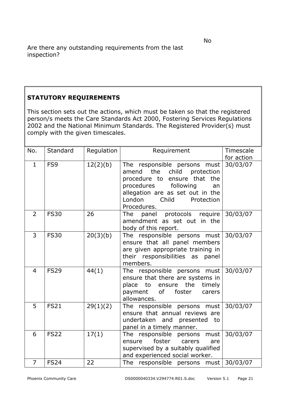#### **STATUTORY REQUIREMENTS**

This section sets out the actions, which must be taken so that the registered person/s meets the Care Standards Act 2000, Fostering Services Regulations 2002 and the National Minimum Standards. The Registered Provider(s) must comply with the given timescales.

| No.            | Standard    | Regulation | Requirement                                                                                                                                                                                                           | Timescale  |
|----------------|-------------|------------|-----------------------------------------------------------------------------------------------------------------------------------------------------------------------------------------------------------------------|------------|
|                |             |            |                                                                                                                                                                                                                       | for action |
| $\mathbf{1}$   | FS9         | 12(2)(b)   | The responsible persons must<br>amend the<br>child<br>protection<br>procedure to ensure that the<br>procedures<br>following<br>an<br>allegation are as set out in the<br>Child<br>London<br>Protection<br>Procedures. | 30/03/07   |
| 2              | <b>FS30</b> | 26         | panel protocols require<br>The<br>amendment as set out in the<br>body of this report.                                                                                                                                 | 30/03/07   |
| 3              | <b>FS30</b> | 20(3)(b)   | The responsible persons must<br>ensure that all panel members<br>are given appropriate training in<br>their responsibilities as<br>panel<br>members.                                                                  | 30/03/07   |
| $\overline{4}$ | <b>FS29</b> | 44(1)      | The responsible persons must<br>ensure that there are systems in<br>ensure the<br>timely<br>place<br>to<br>of<br>payment<br>foster<br>carers<br>allowances.                                                           | 30/03/07   |
| 5              | <b>FS21</b> | 29(1)(2)   | The responsible persons must<br>ensure that annual reviews are<br>undertaken and presented<br>to<br>panel in a timely manner.                                                                                         | 30/03/07   |
| 6              | <b>FS22</b> | 17(1)      | The responsible persons must<br>foster<br>ensure<br>carers<br>are<br>supervised by a suitably qualified<br>and experienced social worker.                                                                             | 30/03/07   |
| $\overline{7}$ | <b>FS24</b> | 22         | The responsible persons must                                                                                                                                                                                          | 30/03/07   |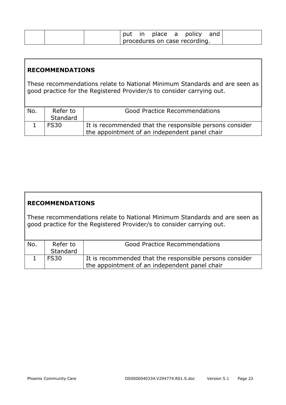|  | in in |  | place a policy                |  |
|--|-------|--|-------------------------------|--|
|  |       |  | procedures on case recording. |  |

#### **RECOMMENDATIONS**

These recommendations relate to National Minimum Standards and are seen as good practice for the Registered Provider/s to consider carrying out.

| No. | Refer to | <b>Good Practice Recommendations</b>                    |
|-----|----------|---------------------------------------------------------|
|     | Standard |                                                         |
|     | FS30     | It is recommended that the responsible persons consider |
|     |          | the appointment of an independent panel chair           |

#### **RECOMMENDATIONS**

These recommendations relate to National Minimum Standards and are seen as good practice for the Registered Provider/s to consider carrying out.

| No. | Refer to    | <b>Good Practice Recommendations</b>                    |
|-----|-------------|---------------------------------------------------------|
|     | Standard    |                                                         |
|     | <b>FS30</b> | It is recommended that the responsible persons consider |
|     |             | the appointment of an independent panel chair           |